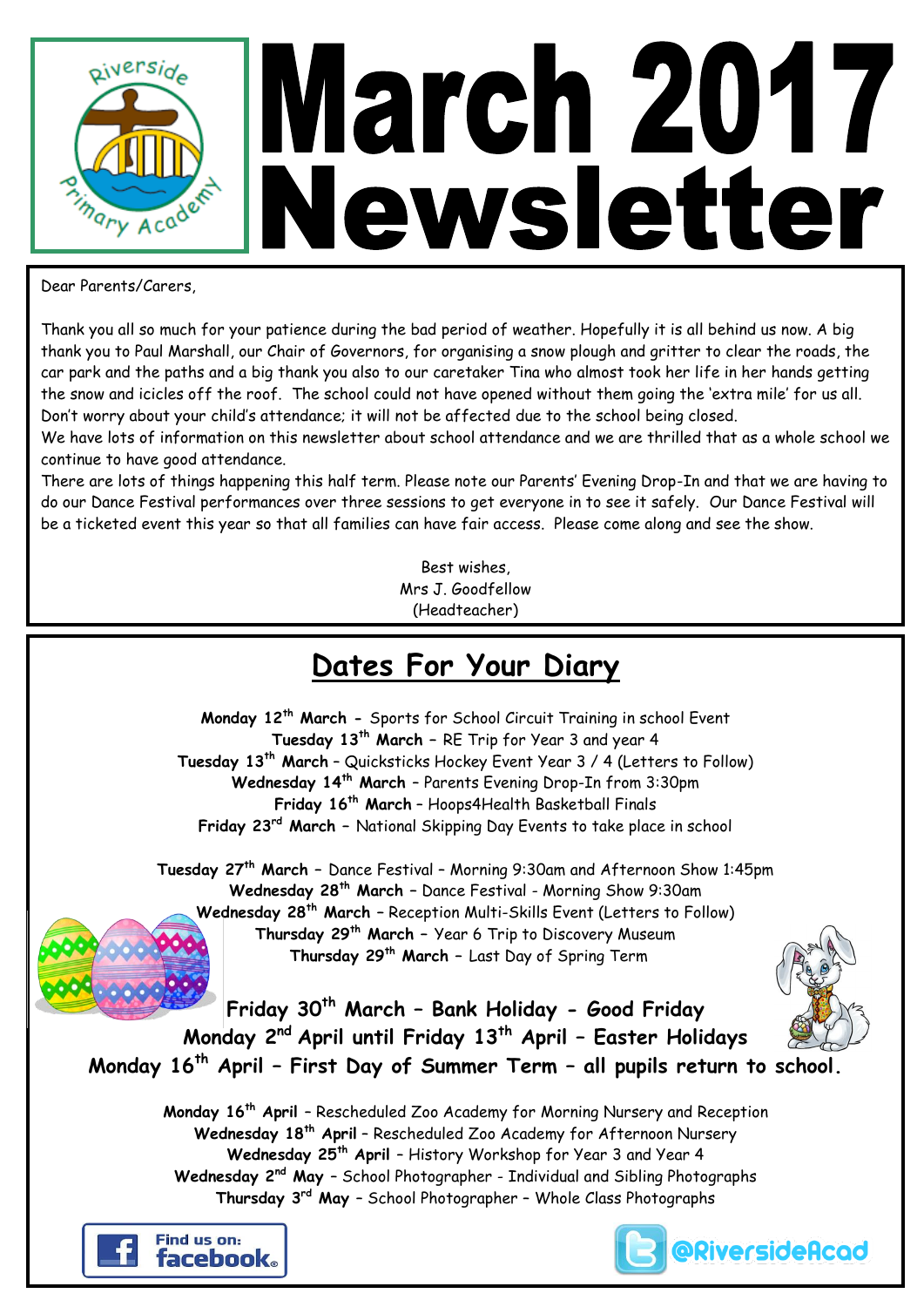

Dear Parents/Carers,

Thank you all so much for your patience during the bad period of weather. Hopefully it is all behind us now. A big thank you to Paul Marshall, our Chair of Governors, for organising a snow plough and gritter to clear the roads, the car park and the paths and a big thank you also to our caretaker Tina who almost took her life in her hands getting the snow and icicles off the roof. The school could not have opened without them going the 'extra mile' for us all. Don't worry about your child's attendance; it will not be affected due to the school being closed.

We have lots of information on this newsletter about school attendance and we are thrilled that as a whole school we continue to have good attendance.

There are lots of things happening this half term. Please note our Parents' Evening Drop-In and that we are having to do our Dance Festival performances over three sessions to get everyone in to see it safely. Our Dance Festival will be a ticketed event this year so that all families can have fair access. Please come along and see the show.

> Best wishes, Mrs J. Goodfellow (Headteacher)

### **Dates For Your Diary**

**Monday 12th March -** Sports for School Circuit Training in school Event **Tuesday 13th March –** RE Trip for Year 3 and year 4 **Tuesday 13th March** – Quicksticks Hockey Event Year 3 / 4 (Letters to Follow) **Wednesday 14th March** – Parents Evening Drop-In from 3:30pm **Friday 16th March** – Hoops4Health Basketball Finals **Friday 23rd March –** National Skipping Day Events to take place in school

**Tuesday 27th March –** Dance Festival – Morning 9:30am and Afternoon Show 1:45pm **Wednesday 28th March –** Dance Festival - Morning Show 9:30am **Wednesday 28th March –** Reception Multi-Skills Event (Letters to Follow) **Thursday 29th March –** Year 6 Trip to Discovery Museum **Thursday 29th March –** Last Day of Spring Term

**Friday 30th March – Bank Holiday - Good Friday Monday 2nd April until Friday 13th April – Easter Holidays Monday 16th April – First Day of Summer Term – all pupils return to school.**

**Monday 16th April** – Rescheduled Zoo Academy for Morning Nursery and Reception **Wednesday 18th April** – Rescheduled Zoo Academy for Afternoon Nursery **Wednesday 25th April** – History Workshop for Year 3 and Year 4 **Wednesday 2nd May** – School Photographer - Individual and Sibling Photographs **Thursday 3rd May** – School Photographer – Whole Class Photographs